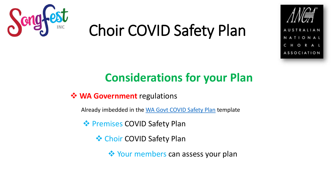



### **Considerations for your Plan**

❖ **WA Government** regulations

Already imbedded in the [WA Govt COVID Safety Plan](http://www.wa.gov.au/sites/default/files/2020-05/COVID-19-Safety-Plan-Phase-3-Sport-and-Rececreation.pdf) template

**❖ Premises COVID Safety Plan** 

❖ Choir COVID Safety Plan

❖ Your members can assess your plan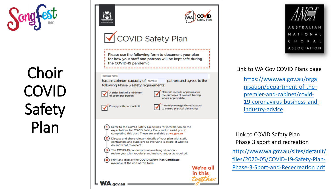





### COVID Safety Plan

Please use the following form to document your plan for how your staff and patrons will be kept safe during the COVID-19 pandemic.

Premises name

**WA.gov.au** 

has a maximum capacity of Number: following Phase 3 safety requirements:

A strict limit of a minimum of 2sam per person

Maintain records of patrons for the purposes of contact tracing where appropriate

patrons and agrees to the



to ensure physical distancing

Refer to the COVID Safety Guidelines for information on the expectations for COVID Safety Plans and to assist you in completing this plan. These are available at wa.gov.au

Discuss and share relevant details of your plan with staff, contractors and suppliers so everyone is aware of what to do and what to expect.

3 The COVID-19 pandemic is an evolving situation review your plan regularly and make changes as required.

Print and display the COVID Safety Plan Certificate available at the end of this form.





Link to WA Gov COVID Plans page

[https://www.wa.gov.au/orga](https://www.wa.gov.au/organisation/department-of-the-premier-and-cabinet/covid-19-coronavirus-business-and-industry-advice) nisation/department-of-thepremier -and -cabinet/covid - 19-coronavirus-business-andindustry -advice

Link to COVID Safety Plan Phase 3 sport and recreation

[http://www.wa.gov.au/sites/default/](http://www.wa.gov.au/sites/default/files/2020-05/COVID-19-Safety-Plan-Phase-3-Sport-and-Rececreation.pdf) files/2020-05/COVID-19-Safety-Plan-Phase - 3 -Sport -and -Rececreation.pdf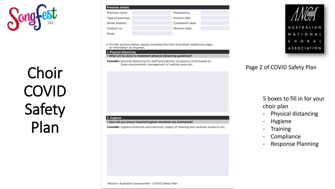

| <b>Premises details</b> |                       |
|-------------------------|-----------------------|
| Premises name:          | Prepared by:          |
| Type of premises:       | Position title:       |
| Street address:         | Completion date:      |
| Contact no:             | <b>Revision date:</b> |
| <b>Email:</b>           |                       |

\* For the sections below, please complete the form and attach additional pages or information as required.

#### 1. Physical distancing

• What will be done to implement physical distancing guidelines?

Consider: physical distancing for staff and patrons; occupancy limits based on 2sqm requirements; management of waiting areas etc.

#### 2. Hygiene

. How will you ensure required hygiene standards are maintained?

Consider: hygiene protocols and practices; supply of cleaning and sanitiser products etc.



### Page 2 of COVID Safety Plan

### 5 boxes to fill in for your choir plan

- Physical distancing
- **Hygiene**
- **Training**
- **Compliance**
- Response Planning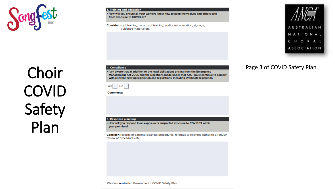

#### 3. Training and education

. How will you ensure all your workers know how to keep themselves and others safe from exposure to COVID-19?

Consider: staff training; records of training; additional education; signage; quidance material etc.



### Page 3 of COVID Safety Plan

# Choir COVID Safety Plan

#### 4. Compliance

. I am aware that in addition to the legal obligations arising from the Emergency Management Act 2005 and the Directions made under that Act, I must continue to comply with relevant existing legislation and regulations, including WorkSafe legislation.

|--|--|--|--|

#### **Comments:**

#### 5. Response planning

. How will you respond to an exposure or suspected exposure to COVID-19 within your premises?

Consider: records of patrons; cleaning procedures; referrals to relevant authorities; regular review of procedures etc.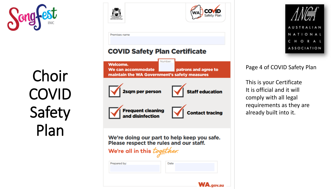





Page 4 of COVID Safety Plan

This is your Certificate It is official and it will comply with all legal requirements as they are already built into it.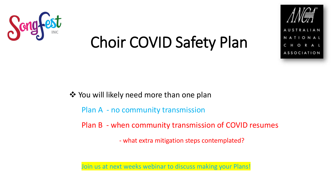



❖ You will likely need more than one plan

Plan A - no community transmission

Plan B - when community transmission of COVID resumes

- what extra mitigation steps contemplated?

Join us at next weeks webinar to discuss making your Plans!